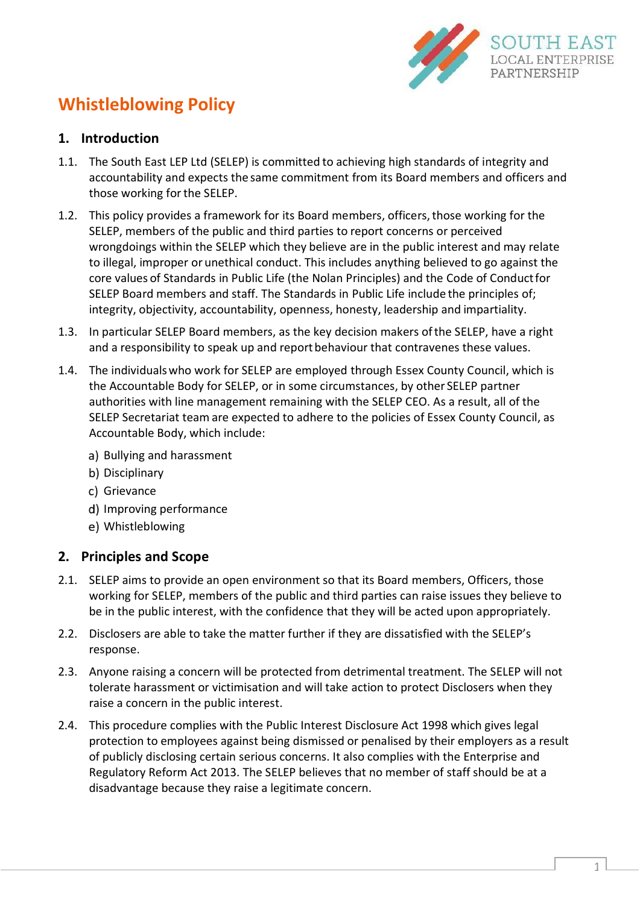

# **Whistleblowing Policy**

### **1. Introduction**

- 1.1. The South East LEP Ltd (SELEP) is committed to achieving high standards of integrity and accountability and expects the same commitment from its Board members and officers and those working forthe SELEP.
- 1.2. This policy provides a framework for its Board members, officers, those working for the SELEP, members of the public and third parties to report concerns or perceived wrongdoings within the SELEP which they believe are in the public interest and may relate to illegal, improper or unethical conduct. This includes anything believed to go against the core values of Standards in Public Life (the Nolan Principles) and the Code of Conductfor SELEP Board members and staff. The Standards in Public Life include the principles of; integrity, objectivity, accountability, openness, honesty, leadership and impartiality.
- 1.3. In particular SELEP Board members, as the key decision makers ofthe SELEP, have a right and a responsibility to speak up and report behaviour that contravenes these values.
- 1.4. The individualswho work for SELEP are employed through Essex County Council, which is the Accountable Body for SELEP, or in some circumstances, by other SELEP partner authorities with line management remaining with the SELEP CEO. As a result, all of the SELEP Secretariat team are expected to adhere to the policies of Essex County Council, as Accountable Body, which include:
	- a) [Bullying and harassment](http://intranet.essex.gov.uk/Pages/Bullying_and_harassment.aspx)
	- b) [Disciplinary](http://intranet.essex.gov.uk/Pages/Disciplinary.aspx)
	- c) [Grievance](http://intranet.essex.gov.uk/Pages/Grievance.aspx)
	- d) [Improving performance](http://intranet.essex.gov.uk/Pages/Improving_performance-.aspx)
	- [Whistleblowing](http://intranet.essex.gov.uk/Pages/How_do_I_raise_a_concern_at_work.aspx)

#### **2. Principles and Scope**

- 2.1. SELEP aims to provide an open environment so that its Board members, Officers, those working for SELEP, members of the public and third parties can raise issues they believe to be in the public interest, with the confidence that they will be acted upon appropriately.
- 2.2. Disclosers are able to take the matter further if they are dissatisfied with the SELEP's response.
- 2.3. Anyone raising a concern will be protected from detrimental treatment. The SELEP will not tolerate harassment or victimisation and will take action to protect Disclosers when they raise a concern in the public interest.
- 2.4. This procedure complies with the Public Interest Disclosure Act 1998 which gives legal protection to employees against being dismissed or penalised by their employers as a result of publicly disclosing certain serious concerns. It also complies with the Enterprise and Regulatory Reform Act 2013. The SELEP believes that no member of staff should be at a disadvantage because they raise a legitimate concern.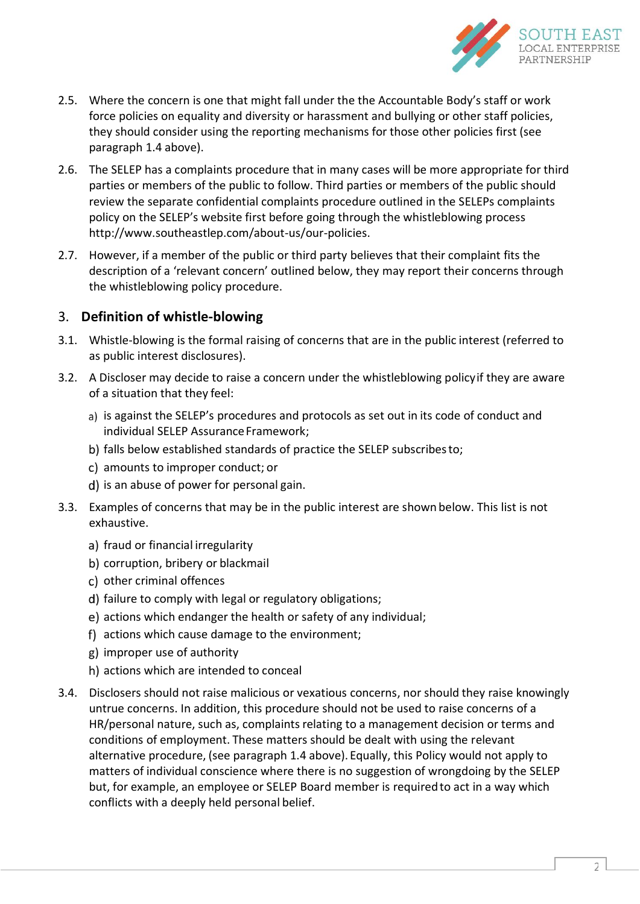

- 2.5. Where the concern is one that might fall under the the Accountable Body's staff or work force policies on equality and diversity or harassment and bullying or other staff policies, they should consider using the reporting mechanisms for those other policies first (see paragraph 1.4 above).
- 2.6. The SELEP has a complaints procedure that in many cases will be more appropriate for third parties or members of the public to follow. Third parties or members of the public should review the separate confidential complaints procedure outlined in the SELEPs complaints policy on the SELEP's website first before going through the whistleblowing process [http://www.southeastlep.com/about-us/our-policies.](http://www.southeastlep.com/about-us/our-policies)
- 2.7. However, if a member of the public or third party believes that their complaint fits the description of a 'relevant concern' outlined below, they may report their concerns through the whistleblowing policy procedure.

#### 3. **Definition of whistle-blowing**

- 3.1. Whistle-blowing is the formal raising of concerns that are in the public interest (referred to as public interest disclosures).
- 3.2. A Discloser may decide to raise a concern under the whistleblowing policyif they are aware of a situation that they feel:
	- a) is against the SELEP's procedures and protocols as set out in its code of conduct and individual SELEP Assurance Framework;
	- b) falls below established standards of practice the SELEP subscribes to;
	- c) amounts to improper conduct; or
	- d) is an abuse of power for personal gain.
- 3.3. Examples of concerns that may be in the public interest are shown below. This list is not exhaustive.
	- a) fraud or financial irregularity
	- b) corruption, bribery or blackmail
	- c) other criminal offences
	- d) failure to comply with legal or regulatory obligations;
	- actions which endanger the health or safety of any individual;
	- actions which cause damage to the environment;
	- g) improper use of authority
	- h) actions which are intended to conceal
- 3.4. Disclosers should not raise malicious or vexatious concerns, nor should they raise knowingly untrue concerns. In addition, this procedure should not be used to raise concerns of a HR/personal nature, such as, complaints relating to a management decision or terms and conditions of employment. These matters should be dealt with using the relevant alternative procedure, (see paragraph 1.4 above). Equally, this Policy would not apply to matters of individual conscience where there is no suggestion of wrongdoing by the SELEP but, for example, an employee or SELEP Board member is requiredto act in a way which conflicts with a deeply held personal belief.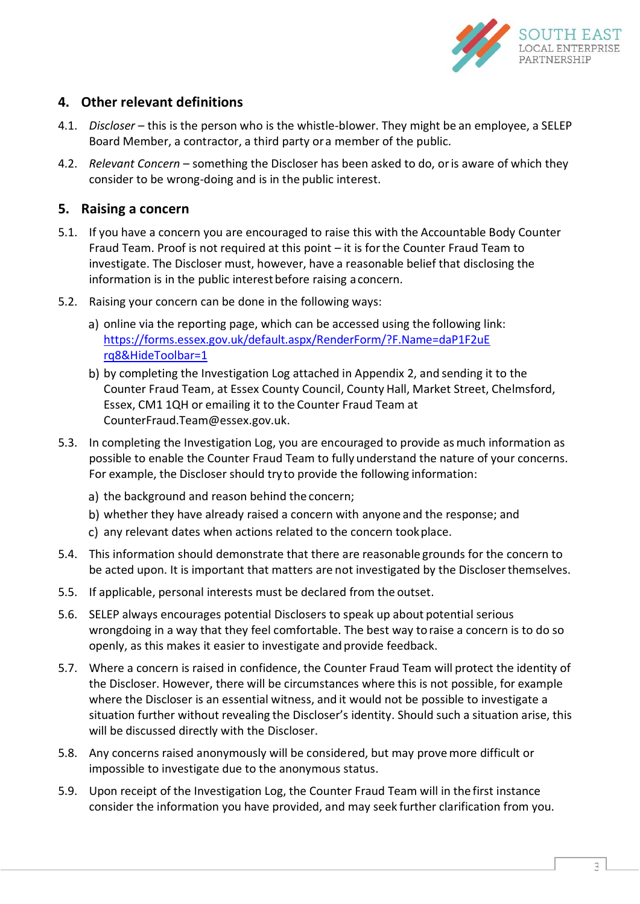

## **4. Other relevant definitions**

- 4.1. *Discloser*  this is the person who is the whistle-blower. They might be an employee, a SELEP Board Member, a contractor, a third party ora member of the public.
- 4.2. *Relevant Concern*  something the Discloser has been asked to do, oris aware of which they consider to be wrong-doing and is in the public interest.

#### **5. Raising a concern**

- 5.1. If you have a concern you are encouraged to raise this with the Accountable Body Counter Fraud Team. Proof is not required at this point – it is forthe Counter Fraud Team to investigate. The Discloser must, however, have a reasonable belief that disclosing the information is in the public interest before raising a concern.
- 5.2. Raising your concern can be done in the following ways:
	- a) online via the reporting page, which can be accessed using the following link: [https://forms.essex.gov.uk/default.aspx/RenderForm/?F.Name=daP1F2uE](https://forms.essex.gov.uk/default.aspx/RenderForm/?F.Name=daP1F2uErq8&HideToolbar=1) [rq8&HideToolbar=1](https://forms.essex.gov.uk/default.aspx/RenderForm/?F.Name=daP1F2uErq8&HideToolbar=1)
	- by completing the Investigation Log attached in Appendix 2, and sending it to the Counter Fraud Team, at Essex County Council, County Hall, Market Street, Chelmsford, Essex, CM1 1QH or emailing it to the Counter Fraud Team at [CounterFraud.Team@essex.gov.uk.](mailto:CounterFraud.Team@essex.gov.uk)
- 5.3. In completing the Investigation Log, you are encouraged to provide as much information as possible to enable the Counter Fraud Team to fully understand the nature of your concerns. For example, the Discloser should tryto provide the following information:
	- a) the background and reason behind the concern;
	- whether they have already raised a concern with anyone and the response; and
	- any relevant dates when actions related to the concern tookplace.
- 5.4. This information should demonstrate that there are reasonable grounds for the concern to be acted upon. It is important that matters are not investigated by the Discloserthemselves.
- 5.5. If applicable, personal interests must be declared from the outset.
- 5.6. SELEP always encourages potential Disclosers to speak up about potential serious wrongdoing in a way that they feel comfortable. The best way toraise a concern is to do so openly, as this makes it easier to investigate and provide feedback.
- 5.7. Where a concern is raised in confidence, the Counter Fraud Team will protect the identity of the Discloser. However, there will be circumstances where this is not possible, for example where the Discloser is an essential witness, and it would not be possible to investigate a situation further without revealing the Discloser's identity. Should such a situation arise, this will be discussed directly with the Discloser.
- 5.8. Any concerns raised anonymously will be considered, but may provemore difficult or impossible to investigate due to the anonymous status.
- 5.9. Upon receipt of the Investigation Log, the Counter Fraud Team will in the first instance consider the information you have provided, and may seek further clarification from you.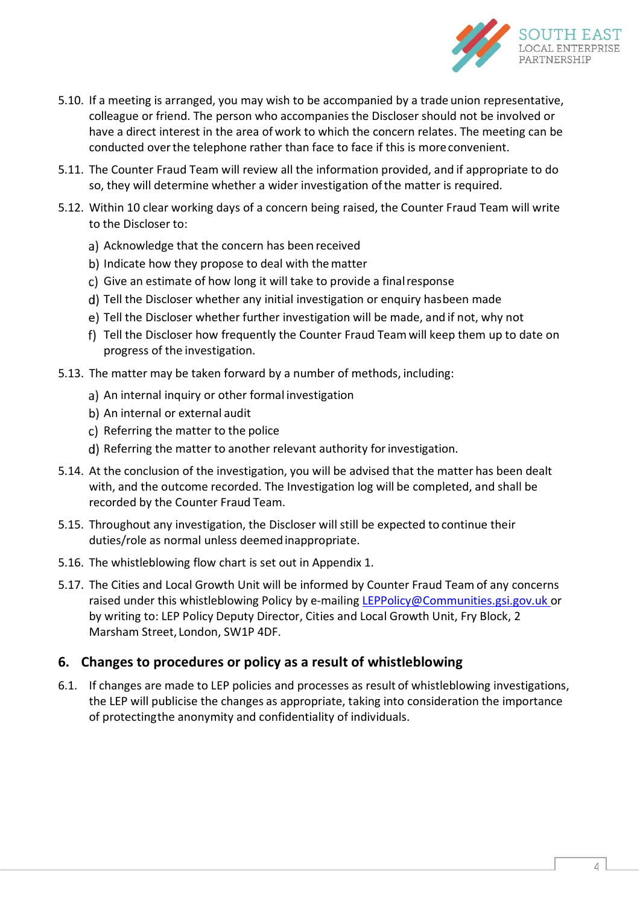

- 5.10. If a meeting is arranged, you may wish to be accompanied by a trade union representative, colleague or friend. The person who accompaniesthe Discloser should not be involved or have a direct interest in the area of work to which the concern relates. The meeting can be conducted overthe telephone rather than face to face if this is moreconvenient.
- 5.11. The Counter Fraud Team will review all the information provided, and if appropriate to do so, they will determine whether a wider investigation ofthe matter is required.
- 5.12. Within 10 clear working days of a concern being raised, the Counter Fraud Team will write to the Discloser to:
	- a) Acknowledge that the concern has been received
	- b) Indicate how they propose to deal with the matter
	- Give an estimate of how long it will take to provide a finalresponse
	- Tell the Discloser whether any initial investigation or enquiry hasbeen made
	- Tell the Discloser whether further investigation will be made, and if not, why not
	- Tell the Discloser how frequently the Counter Fraud Teamwill keep them up to date on progress of the investigation.
- 5.13. The matter may be taken forward by a number of methods, including:
	- a) An internal inquiry or other formal investigation
	- b) An internal or external audit
	- c) Referring the matter to the police
	- d) Referring the matter to another relevant authority for investigation.
- 5.14. At the conclusion of the investigation, you will be advised that the matter has been dealt with, and the outcome recorded. The Investigation log will be completed, and shall be recorded by the Counter Fraud Team.
- 5.15. Throughout any investigation, the Discloser will still be expected to continue their duties/role as normal unless deemed inappropriate.
- 5.16. The whistleblowing flow chart is set out in Appendix 1.
- 5.17. The Cities and Local Growth Unit will be informed by Counter Fraud Team of any concerns raised under this whistleblowing Policy by e-mailing [LEPPolicy@Communities.gsi.gov.uk o](mailto:LEPPolicy@Communities.gsi.gov.uk)r by writing to: LEP Policy Deputy Director, Cities and Local Growth Unit, Fry Block, 2 Marsham Street, London, SW1P 4DF.

### **6. Changes to procedures or policy as a result of whistleblowing**

6.1. If changes are made to LEP policies and processes as result of whistleblowing investigations, the LEP will publicise the changes as appropriate, taking into consideration the importance of protectingthe anonymity and confidentiality of individuals.